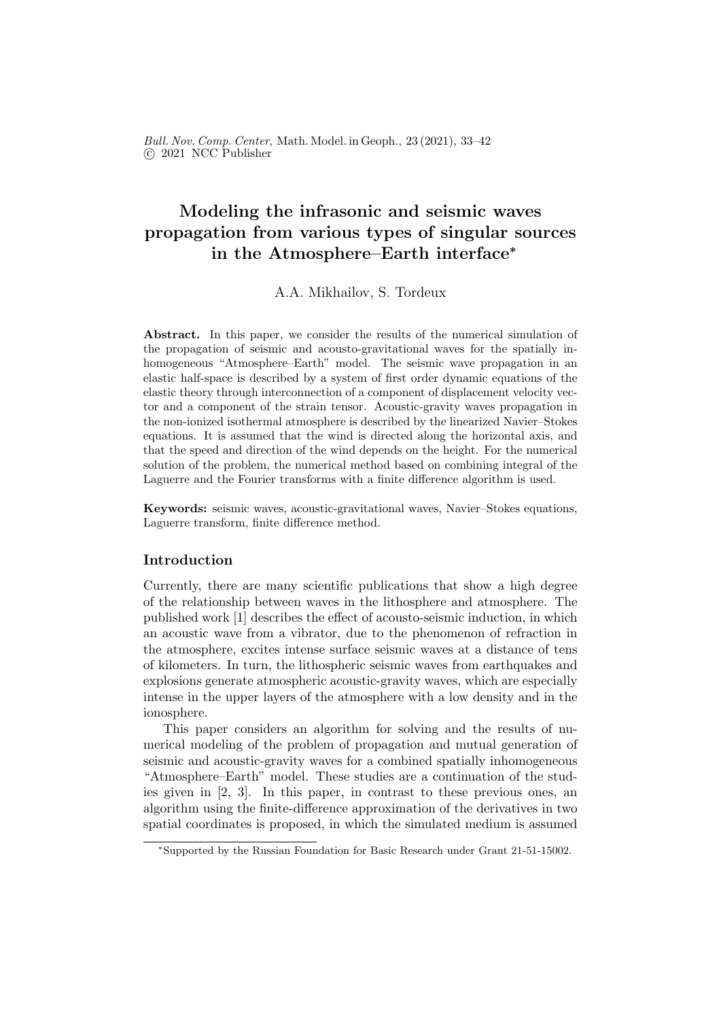Bull. Nov. Comp. Center, Math. Model. in Geoph., 23 (2021), 33–42 c 2021 NCC Publisher

# Modeling the infrasonic and seismic waves propagation from various types of singular sources in the Atmosphere–Earth interface<sup>∗</sup>

A.A. Mikhailov, S. Tordeux

Abstract. In this paper, we consider the results of the numerical simulation of the propagation of seismic and acousto-gravitational waves for the spatially inhomogeneous "Atmosphere–Earth" model. The seismic wave propagation in an elastic half-space is described by a system of first order dynamic equations of the elastic theory through interconnection of a component of displacement velocity vector and a component of the strain tensor. Acoustic-gravity waves propagation in the non-ionized isothermal atmosphere is described by the linearized Navier–Stokes equations. It is assumed that the wind is directed along the horizontal axis, and that the speed and direction of the wind depends on the height. For the numerical solution of the problem, the numerical method based on combining integral of the Laguerre and the Fourier transforms with a finite difference algorithm is used.

Keywords: seismic waves, acoustic-gravitational waves, Navier–Stokes equations, Laguerre transform, finite difference method.

## Introduction

Currently, there are many scientific publications that show a high degree of the relationship between waves in the lithosphere and atmosphere. The published work [1] describes the effect of acousto-seismic induction, in which an acoustic wave from a vibrator, due to the phenomenon of refraction in the atmosphere, excites intense surface seismic waves at a distance of tens of kilometers. In turn, the lithospheric seismic waves from earthquakes and explosions generate atmospheric acoustic-gravity waves, which are especially intense in the upper layers of the atmosphere with a low density and in the ionosphere.

This paper considers an algorithm for solving and the results of numerical modeling of the problem of propagation and mutual generation of seismic and acoustic-gravity waves for a combined spatially inhomogeneous "Atmosphere–Earth" model. These studies are a continuation of the studies given in [2, 3]. In this paper, in contrast to these previous ones, an algorithm using the finite-difference approximation of the derivatives in two spatial coordinates is proposed, in which the simulated medium is assumed

<sup>∗</sup>Supported by the Russian Foundation for Basic Research under Grant 21-51-15002.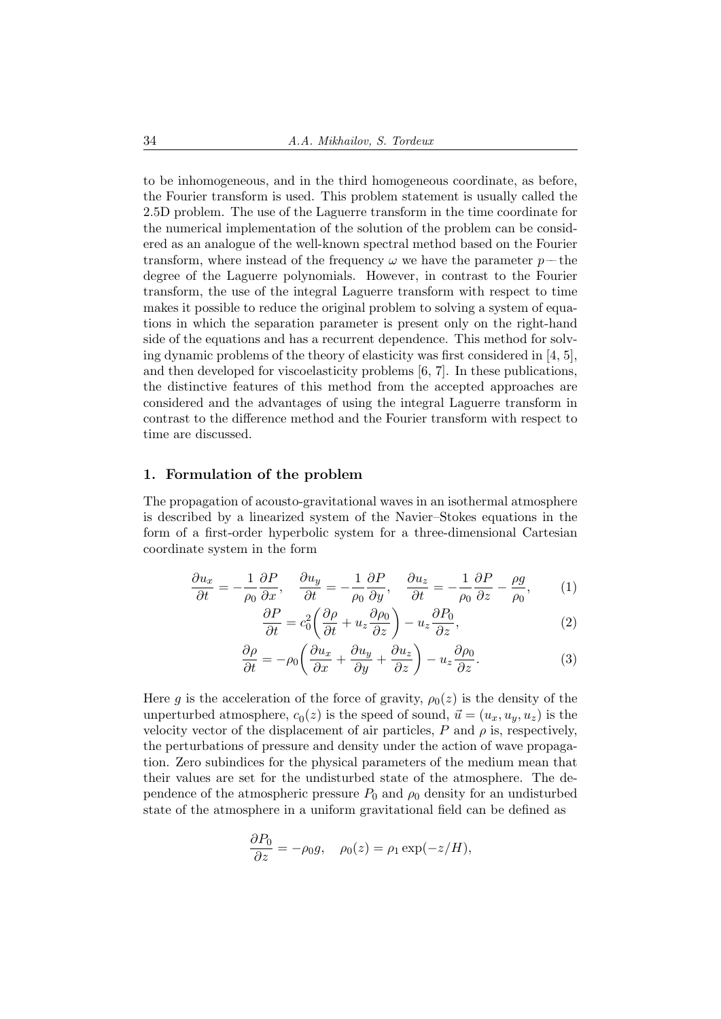to be inhomogeneous, and in the third homogeneous coordinate, as before, the Fourier transform is used. This problem statement is usually called the 2.5D problem. The use of the Laguerre transform in the time coordinate for the numerical implementation of the solution of the problem can be considered as an analogue of the well-known spectral method based on the Fourier transform, where instead of the frequency  $\omega$  we have the parameter  $p$ —the degree of the Laguerre polynomials. However, in contrast to the Fourier transform, the use of the integral Laguerre transform with respect to time makes it possible to reduce the original problem to solving a system of equations in which the separation parameter is present only on the right-hand side of the equations and has a recurrent dependence. This method for solving dynamic problems of the theory of elasticity was first considered in [4, 5], and then developed for viscoelasticity problems [6, 7]. In these publications, the distinctive features of this method from the accepted approaches are considered and the advantages of using the integral Laguerre transform in contrast to the difference method and the Fourier transform with respect to time are discussed.

### 1. Formulation of the problem

The propagation of acousto-gravitational waves in an isothermal atmosphere is described by a linearized system of the Navier–Stokes equations in the form of a first-order hyperbolic system for a three-dimensional Cartesian coordinate system in the form

$$
\frac{\partial u_x}{\partial t} = -\frac{1}{\rho_0} \frac{\partial P}{\partial x}, \quad \frac{\partial u_y}{\partial t} = -\frac{1}{\rho_0} \frac{\partial P}{\partial y}, \quad \frac{\partial u_z}{\partial t} = -\frac{1}{\rho_0} \frac{\partial P}{\partial z} - \frac{\rho g}{\rho_0}, \tag{1}
$$

$$
\frac{\partial P}{\partial t} = c_0^2 \left( \frac{\partial \rho}{\partial t} + u_z \frac{\partial \rho_0}{\partial z} \right) - u_z \frac{\partial P_0}{\partial z},\tag{2}
$$

$$
\frac{\partial \rho}{\partial t} = -\rho_0 \left( \frac{\partial u_x}{\partial x} + \frac{\partial u_y}{\partial y} + \frac{\partial u_z}{\partial z} \right) - u_z \frac{\partial \rho_0}{\partial z}.
$$
 (3)

Here g is the acceleration of the force of gravity,  $\rho_0(z)$  is the density of the unperturbed atmosphere,  $c_0(z)$  is the speed of sound,  $\vec{u} = (u_x, u_y, u_z)$  is the velocity vector of the displacement of air particles,  $P$  and  $\rho$  is, respectively, the perturbations of pressure and density under the action of wave propagation. Zero subindices for the physical parameters of the medium mean that their values are set for the undisturbed state of the atmosphere. The dependence of the atmospheric pressure  $P_0$  and  $\rho_0$  density for an undisturbed state of the atmosphere in a uniform gravitational field can be defined as

$$
\frac{\partial P_0}{\partial z} = -\rho_0 g, \quad \rho_0(z) = \rho_1 \exp(-z/H),
$$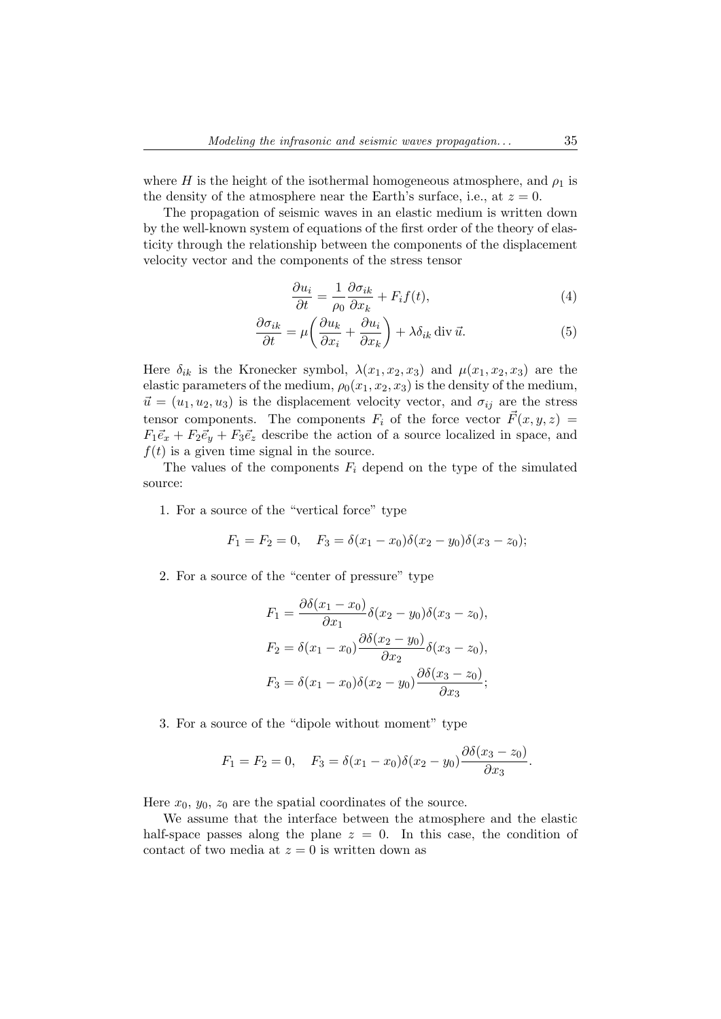where H is the height of the isothermal homogeneous atmosphere, and  $\rho_1$  is the density of the atmosphere near the Earth's surface, i.e., at  $z = 0$ .

The propagation of seismic waves in an elastic medium is written down by the well-known system of equations of the first order of the theory of elasticity through the relationship between the components of the displacement velocity vector and the components of the stress tensor

$$
\frac{\partial u_i}{\partial t} = \frac{1}{\rho_0} \frac{\partial \sigma_{ik}}{\partial x_k} + F_i f(t), \tag{4}
$$

$$
\frac{\partial \sigma_{ik}}{\partial t} = \mu \left( \frac{\partial u_k}{\partial x_i} + \frac{\partial u_i}{\partial x_k} \right) + \lambda \delta_{ik} \operatorname{div} \vec{u}.
$$
 (5)

Here  $\delta_{ik}$  is the Kronecker symbol,  $\lambda(x_1, x_2, x_3)$  and  $\mu(x_1, x_2, x_3)$  are the elastic parameters of the medium,  $\rho_0(x_1, x_2, x_3)$  is the density of the medium,  $\vec{u} = (u_1, u_2, u_3)$  is the displacement velocity vector, and  $\sigma_{ij}$  are the stress tensor components. The components  $F_i$  of the force vector  $\vec{F}(x, y, z) =$  $F_1\vec{e}_x + F_2\vec{e}_y + F_3\vec{e}_z$  describe the action of a source localized in space, and  $f(t)$  is a given time signal in the source.

The values of the components  $F_i$  depend on the type of the simulated source:

1. For a source of the "vertical force" type

$$
F_1 = F_2 = 0, \quad F_3 = \delta(x_1 - x_0)\delta(x_2 - y_0)\delta(x_3 - z_0);
$$

2. For a source of the "center of pressure" type

$$
F_1 = \frac{\partial \delta(x_1 - x_0)}{\partial x_1} \delta(x_2 - y_0) \delta(x_3 - z_0),
$$
  
\n
$$
F_2 = \delta(x_1 - x_0) \frac{\partial \delta(x_2 - y_0)}{\partial x_2} \delta(x_3 - z_0),
$$
  
\n
$$
F_3 = \delta(x_1 - x_0) \delta(x_2 - y_0) \frac{\partial \delta(x_3 - z_0)}{\partial x_3};
$$

3. For a source of the "dipole without moment" type

$$
F_1 = F_2 = 0
$$
,  $F_3 = \delta(x_1 - x_0)\delta(x_2 - y_0)\frac{\partial \delta(x_3 - z_0)}{\partial x_3}$ .

Here  $x_0, y_0, z_0$  are the spatial coordinates of the source.

We assume that the interface between the atmosphere and the elastic half-space passes along the plane  $z = 0$ . In this case, the condition of contact of two media at  $z = 0$  is written down as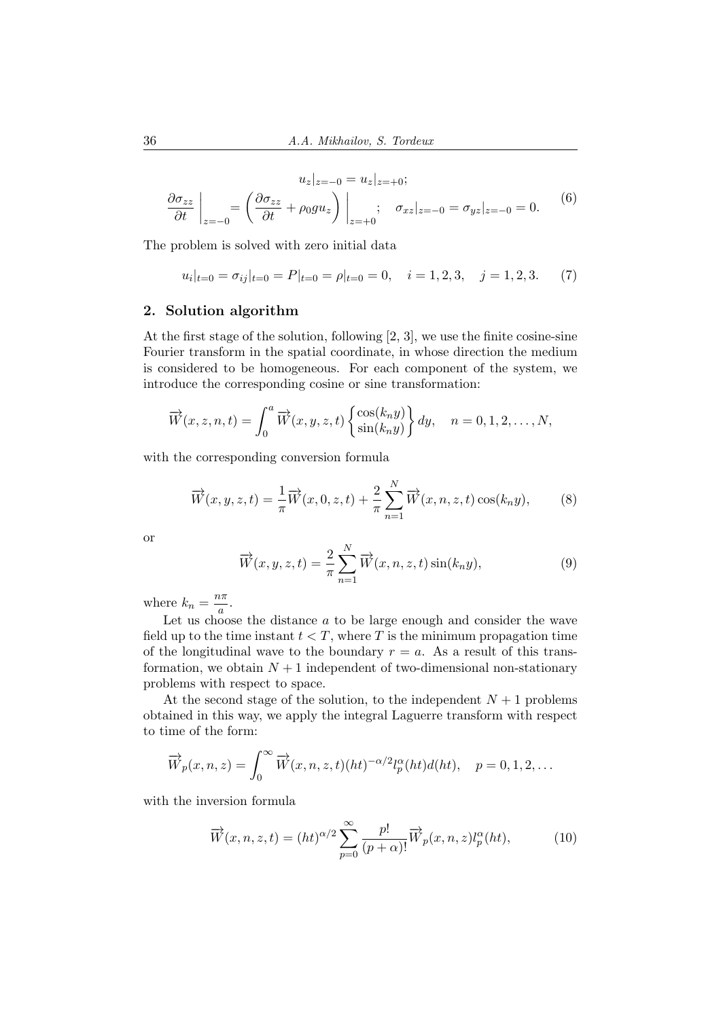$$
u_z|_{z=-0} = u_z|_{z=-0};
$$
  
\n
$$
\frac{\partial \sigma_{zz}}{\partial t}\Big|_{z=-0} = \left(\frac{\partial \sigma_{zz}}{\partial t} + \rho_0 g u_z\right)\Big|_{z=-0}; \quad \sigma_{xz}|_{z=-0} = \sigma_{yz}|_{z=-0} = 0.
$$
 (6)

The problem is solved with zero initial data

$$
u_i|_{t=0} = \sigma_{ij}|_{t=0} = P|_{t=0} = \rho|_{t=0} = 0, \quad i = 1, 2, 3, \quad j = 1, 2, 3. \tag{7}
$$

## 2. Solution algorithm

At the first stage of the solution, following [2, 3], we use the finite cosine-sine Fourier transform in the spatial coordinate, in whose direction the medium is considered to be homogeneous. For each component of the system, we introduce the corresponding cosine or sine transformation:

$$
\overrightarrow{W}(x, z, n, t) = \int_0^a \overrightarrow{W}(x, y, z, t) \begin{Bmatrix} \cos(k_n y) \\ \sin(k_n y) \end{Bmatrix} dy, \quad n = 0, 1, 2, \dots, N,
$$

with the corresponding conversion formula

$$
\overrightarrow{W}(x,y,z,t) = \frac{1}{\pi} \overrightarrow{W}(x,0,z,t) + \frac{2}{\pi} \sum_{n=1}^{N} \overrightarrow{W}(x,n,z,t) \cos(k_n y),
$$
 (8)

or

$$
\overrightarrow{W}(x, y, z, t) = \frac{2}{\pi} \sum_{n=1}^{N} \overrightarrow{W}(x, n, z, t) \sin(k_n y), \qquad (9)
$$

where  $k_n = \frac{n\pi}{a}$  $\frac{a}{a}$ .

Let us choose the distance  $a$  to be large enough and consider the wave field up to the time instant  $t < T$ , where T is the minimum propagation time of the longitudinal wave to the boundary  $r = a$ . As a result of this transformation, we obtain  $N+1$  independent of two-dimensional non-stationary problems with respect to space.

At the second stage of the solution, to the independent  $N+1$  problems obtained in this way, we apply the integral Laguerre transform with respect to time of the form:

$$
\overrightarrow{W}_p(x,n,z) = \int_0^\infty \overrightarrow{W}(x,n,z,t)(ht)^{-\alpha/2}l_p^{\alpha}(ht) d(ht), \quad p = 0, 1, 2, \dots
$$

with the inversion formula

$$
\overrightarrow{W}(x,n,z,t) = (ht)^{\alpha/2} \sum_{p=0}^{\infty} \frac{p!}{(p+\alpha)!} \overrightarrow{W}_p(x,n,z) l_p^{\alpha}(ht),
$$
 (10)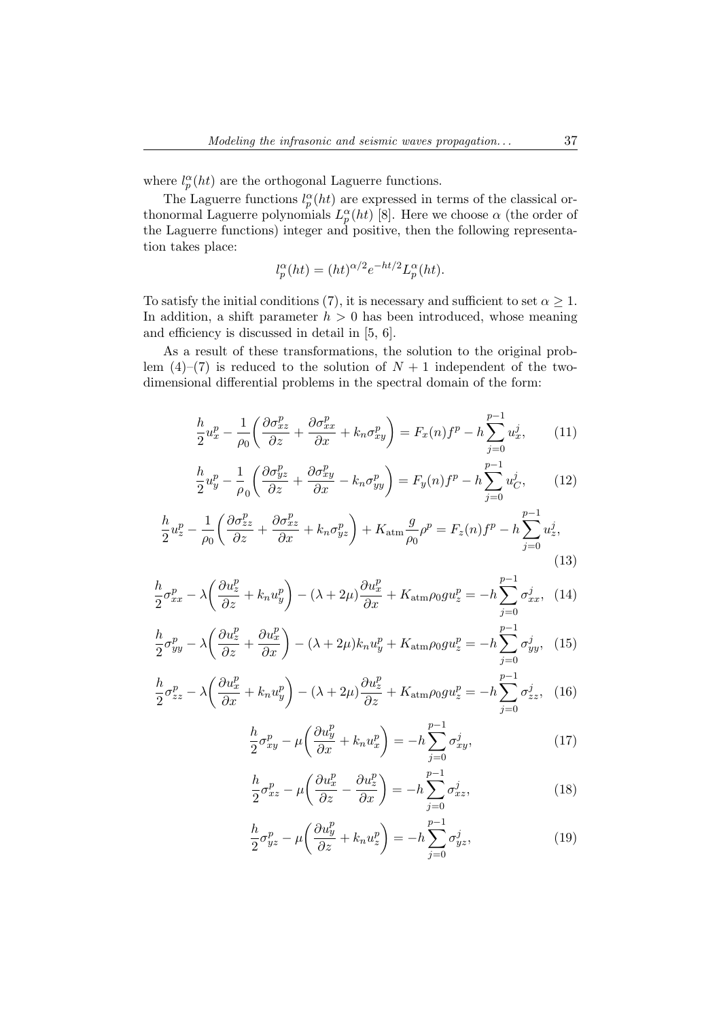where  $l_p^{\alpha}(ht)$  are the orthogonal Laguerre functions.

The Laguerre functions  $l_p^{\alpha}(ht)$  are expressed in terms of the classical orthonormal Laguerre polynomials  $L_p^{\alpha}(ht)$  [8]. Here we choose  $\alpha$  (the order of the Laguerre functions) integer and positive, then the following representation takes place:

$$
l_p^{\alpha}(ht) = (ht)^{\alpha/2} e^{-ht/2} L_p^{\alpha}(ht).
$$

To satisfy the initial conditions (7), it is necessary and sufficient to set  $\alpha \geq 1$ . In addition, a shift parameter  $h > 0$  has been introduced, whose meaning and efficiency is discussed in detail in [5, 6].

As a result of these transformations, the solution to the original problem  $(4)$ – $(7)$  is reduced to the solution of  $N + 1$  independent of the twodimensional differential problems in the spectral domain of the form:

$$
\frac{h}{2}u_x^p - \frac{1}{\rho_0} \left( \frac{\partial \sigma_{xz}^p}{\partial z} + \frac{\partial \sigma_{xx}^p}{\partial x} + k_n \sigma_{xy}^p \right) = F_x(n)f^p - h \sum_{j=0}^{p-1} u_x^j, \qquad (11)
$$

$$
\frac{h}{2}u_y^p - \frac{1}{\rho_0} \left( \frac{\partial \sigma_{yz}^p}{\partial z} + \frac{\partial \sigma_{xy}^p}{\partial x} - k_n \sigma_{yy}^p \right) = F_y(n)f^p - h \sum_{j=0}^{p-1} u_C^j,
$$
(12)

$$
\frac{h}{2}u_z^p - \frac{1}{\rho_0} \left( \frac{\partial \sigma_{zz}^p}{\partial z} + \frac{\partial \sigma_{xz}^p}{\partial x} + k_n \sigma_{yz}^p \right) + K_{\text{atm}} \frac{g}{\rho_0} \rho^p = F_z(n)f^p - h \sum_{j=0}^{p-1} u_z^j,
$$
\n(13)

$$
\frac{h}{2}\sigma_{xx}^p - \lambda \left(\frac{\partial u_z^p}{\partial z} + k_n u_y^p\right) - (\lambda + 2\mu) \frac{\partial u_x^p}{\partial x} + K_{\text{atm}} \rho_0 g u_z^p = -h \sum_{j=0}^{p-1} \sigma_{xx}^j, \tag{14}
$$

$$
\frac{h}{2}\sigma_{yy}^p - \lambda \left(\frac{\partial u_z^p}{\partial z} + \frac{\partial u_x^p}{\partial x}\right) - (\lambda + 2\mu)k_n u_y^p + K_{\text{atm}}\rho_0 g u_z^p = -h \sum_{j=0}^{p-1} \sigma_{yy}^j, \tag{15}
$$

$$
\frac{h}{2}\sigma_{zz}^p - \lambda \left(\frac{\partial u_x^p}{\partial x} + k_n u_y^p\right) - (\lambda + 2\mu) \frac{\partial u_z^p}{\partial z} + K_{\text{atm}} \rho_0 g u_z^p = -h \sum_{j=0}^{p-1} \sigma_{zz}^j, \tag{16}
$$

$$
\frac{h}{2}\sigma_{xy}^p - \mu \left(\frac{\partial u_y^p}{\partial x} + k_n u_x^p\right) = -h \sum_{j=0}^{p-1} \sigma_{xy}^j,\tag{17}
$$

$$
\frac{h}{2}\sigma_{xz}^p - \mu \left(\frac{\partial u_x^p}{\partial z} - \frac{\partial u_z^p}{\partial x}\right) = -h \sum_{j=0}^{p-1} \sigma_{xz}^j,
$$
\n(18)

$$
\frac{h}{2}\sigma_{yz}^p - \mu \left(\frac{\partial u_y^p}{\partial z} + k_n u_z^p\right) = -h \sum_{j=0}^{p-1} \sigma_{yz}^j,
$$
\n(19)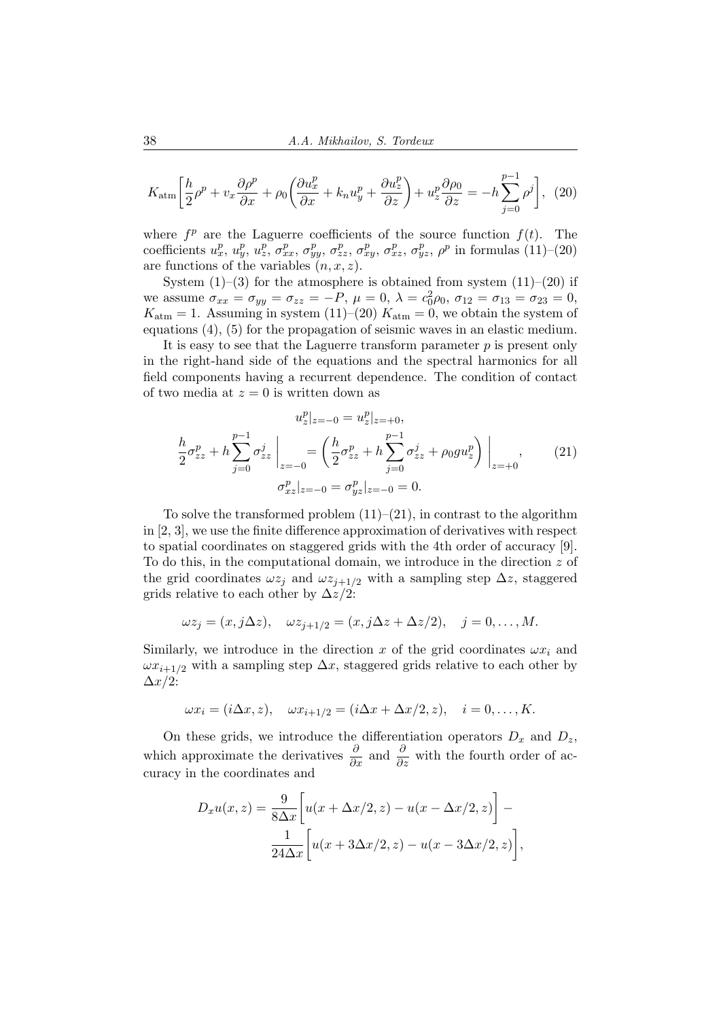$$
K_{\text{atm}} \left[ \frac{h}{2} \rho^p + v_x \frac{\partial \rho^p}{\partial x} + \rho_0 \left( \frac{\partial u_x^p}{\partial x} + k_n u_y^p + \frac{\partial u_z^p}{\partial z} \right) + u_z^p \frac{\partial \rho_0}{\partial z} = -h \sum_{j=0}^{p-1} \rho^j \right], \tag{20}
$$

where  $f^p$  are the Laguerre coefficients of the source function  $f(t)$ . The coefficients  $u_x^p, u_y^p, u_z^p, \sigma_{xx}^p, \sigma_{yy}^p, \sigma_{zz}^p, \sigma_{xy}^p, \sigma_{xz}^p, \sigma_{yz}^p, \rho^p$  in formulas (11)–(20) are functions of the variables  $(n, x, z)$ .

System  $(1)$ – $(3)$  for the atmosphere is obtained from system  $(11)$ – $(20)$  if we assume  $\sigma_{xx} = \sigma_{yy} = \sigma_{zz} = -P$ ,  $\mu = 0$ ,  $\lambda = c_0^2 \rho_0$ ,  $\sigma_{12} = \sigma_{13} = \sigma_{23} = 0$ ,  $K_{\text{atm}} = 1$ . Assuming in system (11)–(20)  $K_{\text{atm}} = 0$ , we obtain the system of equations (4), (5) for the propagation of seismic waves in an elastic medium.

It is easy to see that the Laguerre transform parameter  $p$  is present only in the right-hand side of the equations and the spectral harmonics for all field components having a recurrent dependence. The condition of contact of two media at  $z = 0$  is written down as

$$
u_z^p|_{z=-0} = u_z^p|_{z=+0},
$$
  
\n
$$
\frac{h}{2}\sigma_{zz}^p + h \sum_{j=0}^{p-1} \sigma_{zz}^j \bigg|_{z=-0} = \left(\frac{h}{2}\sigma_{zz}^p + h \sum_{j=0}^{p-1} \sigma_{zz}^j + \rho_0 g u_z^p\right)\bigg|_{z=+0},
$$
  
\n
$$
\sigma_{xz}^p|_{z=-0} = \sigma_{yz}^p|_{z=-0} = 0.
$$
\n(21)

To solve the transformed problem  $(11)–(21)$ , in contrast to the algorithm in [2, 3], we use the finite difference approximation of derivatives with respect to spatial coordinates on staggered grids with the 4th order of accuracy [9]. To do this, in the computational domain, we introduce in the direction  $z$  of the grid coordinates  $\omega z_j$  and  $\omega z_{j+1/2}$  with a sampling step  $\Delta z$ , staggered grids relative to each other by  $\Delta z/2$ :

$$
\omega z_j = (x, j\Delta z), \quad \omega z_{j+1/2} = (x, j\Delta z + \Delta z/2), \quad j = 0, \dots, M.
$$

Similarly, we introduce in the direction x of the grid coordinates  $\omega x_i$  and  $\omega x_{i+1/2}$  with a sampling step  $\Delta x$ , staggered grids relative to each other by  $\Delta x/2$ :

$$
\omega x_i = (i\Delta x, z), \quad \omega x_{i+1/2} = (i\Delta x + \Delta x/2, z), \quad i = 0, \dots, K.
$$

On these grids, we introduce the differentiation operators  $D_x$  and  $D_z$ , which approximate the derivatives  $\frac{\partial}{\partial x}$  and  $\frac{\partial}{\partial z}$  with the fourth order of accuracy in the coordinates and

$$
D_x u(x, z) = \frac{9}{8\Delta x} \left[ u(x + \Delta x/2, z) - u(x - \Delta x/2, z) \right] -
$$

$$
\frac{1}{24\Delta x} \left[ u(x + 3\Delta x/2, z) - u(x - 3\Delta x/2, z) \right],
$$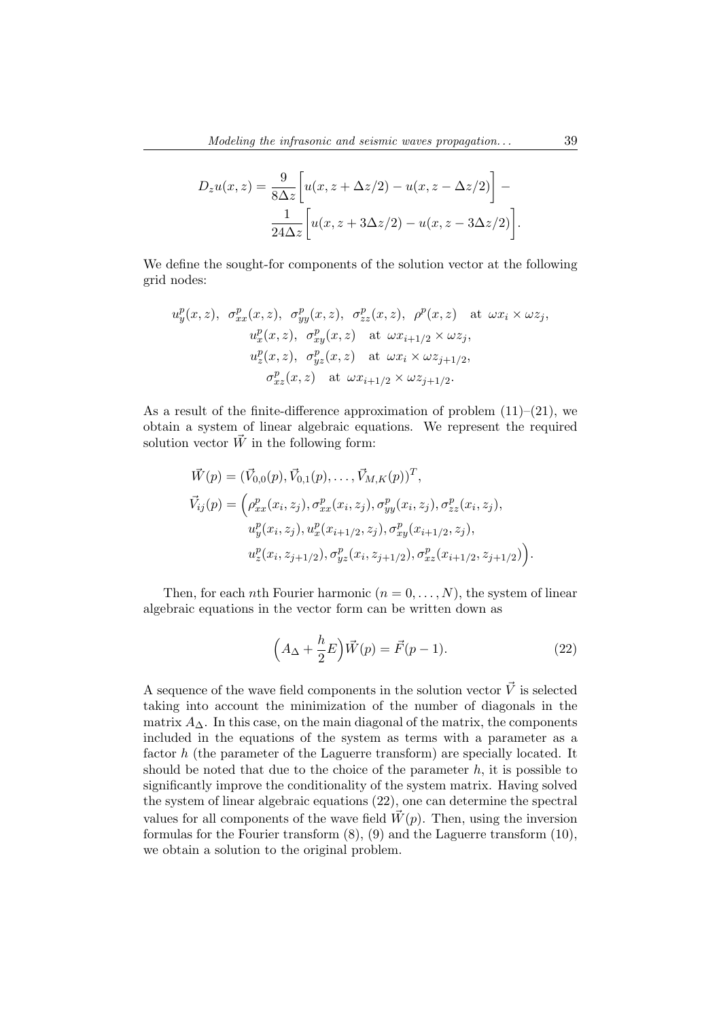$$
D_z u(x, z) = \frac{9}{8\Delta z} \left[ u(x, z + \Delta z/2) - u(x, z - \Delta z/2) \right] -
$$

$$
\frac{1}{24\Delta z} \left[ u(x, z + 3\Delta z/2) - u(x, z - 3\Delta z/2) \right].
$$

We define the sought-for components of the solution vector at the following grid nodes:

$$
u_y^p(x, z), \sigma_{xx}^p(x, z), \sigma_{yy}^p(x, z), \sigma_{zz}^p(x, z), \rho^p(x, z) \text{ at } \omega x_i \times \omega z_j,
$$
  
\n
$$
u_x^p(x, z), \sigma_{xy}^p(x, z) \text{ at } \omega x_{i+1/2} \times \omega z_j,
$$
  
\n
$$
u_z^p(x, z), \sigma_{yz}^p(x, z) \text{ at } \omega x_i \times \omega z_{j+1/2},
$$
  
\n
$$
\sigma_{xz}^p(x, z) \text{ at } \omega x_{i+1/2} \times \omega z_{j+1/2}.
$$

As a result of the finite-difference approximation of problem  $(11)–(21)$ , we obtain a system of linear algebraic equations. We represent the required solution vector  $\vec{W}$  in the following form:

$$
\vec{W}(p) = (\vec{V}_{0,0}(p), \vec{V}_{0,1}(p), \dots, \vec{V}_{M,K}(p))^T,
$$
\n
$$
\vec{V}_{ij}(p) = \left(\rho_{xx}^p(x_i, z_j), \sigma_{xx}^p(x_i, z_j), \sigma_{yy}^p(x_i, z_j), \sigma_{zz}^p(x_i, z_j), \sigma_{zz}^p(x_i, z_j), \sigma_{xy}^p(x_i, z_j), \sigma_{xy}^p(x_i, z_j), \sigma_{xy}^p(x_i, z_j, z_j), \sigma_{xy}^p(x_i, z_{j+1/2}, z_j, z_{j+1/2})\right).
$$

Then, for each nth Fourier harmonic  $(n = 0, \ldots, N)$ , the system of linear algebraic equations in the vector form can be written down as

$$
\left(A_{\Delta} + \frac{h}{2}E\right)\vec{W}(p) = \vec{F}(p-1). \tag{22}
$$

A sequence of the wave field components in the solution vector  $\vec{V}$  is selected taking into account the minimization of the number of diagonals in the matrix  $A_{\Lambda}$ . In this case, on the main diagonal of the matrix, the components included in the equations of the system as terms with a parameter as a factor h (the parameter of the Laguerre transform) are specially located. It should be noted that due to the choice of the parameter  $h$ , it is possible to significantly improve the conditionality of the system matrix. Having solved the system of linear algebraic equations (22), one can determine the spectral values for all components of the wave field  $\tilde{W}(p)$ . Then, using the inversion formulas for the Fourier transform (8), (9) and the Laguerre transform (10), we obtain a solution to the original problem.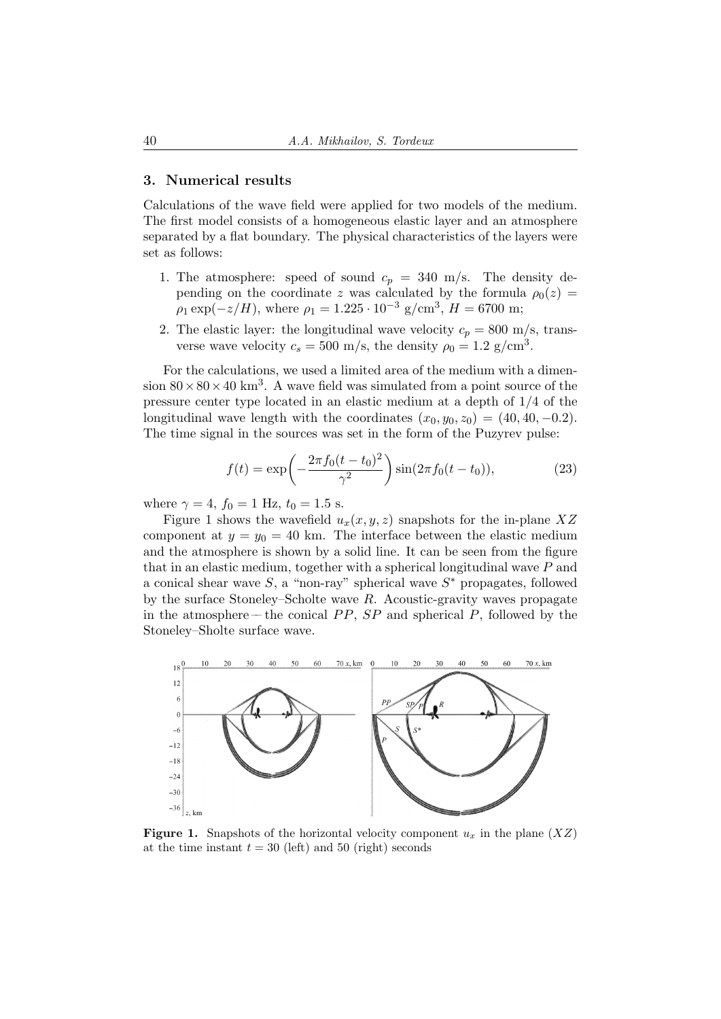## 3. Numerical results

Calculations of the wave field were applied for two models of the medium. The first model consists of a homogeneous elastic layer and an atmosphere separated by a flat boundary. The physical characteristics of the layers were set as follows:

- 1. The atmosphere: speed of sound  $c_p = 340$  m/s. The density depending on the coordinate z was calculated by the formula  $\rho_0(z)$  $\rho_1 \exp(-z/H)$ , where  $\rho_1 = 1.225 \cdot 10^{-3}$  g/cm<sup>3</sup>,  $H = 6700$  m;
- 2. The elastic layer: the longitudinal wave velocity  $c_p = 800$  m/s, transverse wave velocity  $c_s = 500$  m/s, the density  $\rho_0 = 1.2$  g/cm<sup>3</sup>.

For the calculations, we used a limited area of the medium with a dimension  $80 \times 80 \times 40$  km<sup>3</sup>. A wave field was simulated from a point source of the pressure center type located in an elastic medium at a depth of 1/4 of the longitudinal wave length with the coordinates  $(x_0, y_0, z_0) = (40, 40, -0.2)$ . The time signal in the sources was set in the form of the Puzyrev pulse:

$$
f(t) = \exp\left(-\frac{2\pi f_0(t - t_0)^2}{\gamma^2}\right)\sin(2\pi f_0(t - t_0)),\tag{23}
$$

where  $\gamma = 4$ ,  $f_0 = 1$  Hz,  $t_0 = 1.5$  s.

Figure 1 shows the wavefield  $u_x(x, y, z)$  snapshots for the in-plane XZ component at  $y = y_0 = 40$  km. The interface between the elastic medium and the atmosphere is shown by a solid line. It can be seen from the figure that in an elastic medium, together with a spherical longitudinal wave  $P$  and a conical shear wave  $S$ , a "non-ray" spherical wave  $S^*$  propagates, followed by the surface Stoneley–Scholte wave  $R$ . Acoustic-gravity waves propagate in the atmosphere –– the conical  $PP$ ,  $SP$  and spherical  $P$ , followed by the Stoneley–Sholte surface wave.



**Figure 1.** Snapshots of the horizontal velocity component  $u_x$  in the plane  $(XZ)$ at the time instant  $t = 30$  (left) and 50 (right) seconds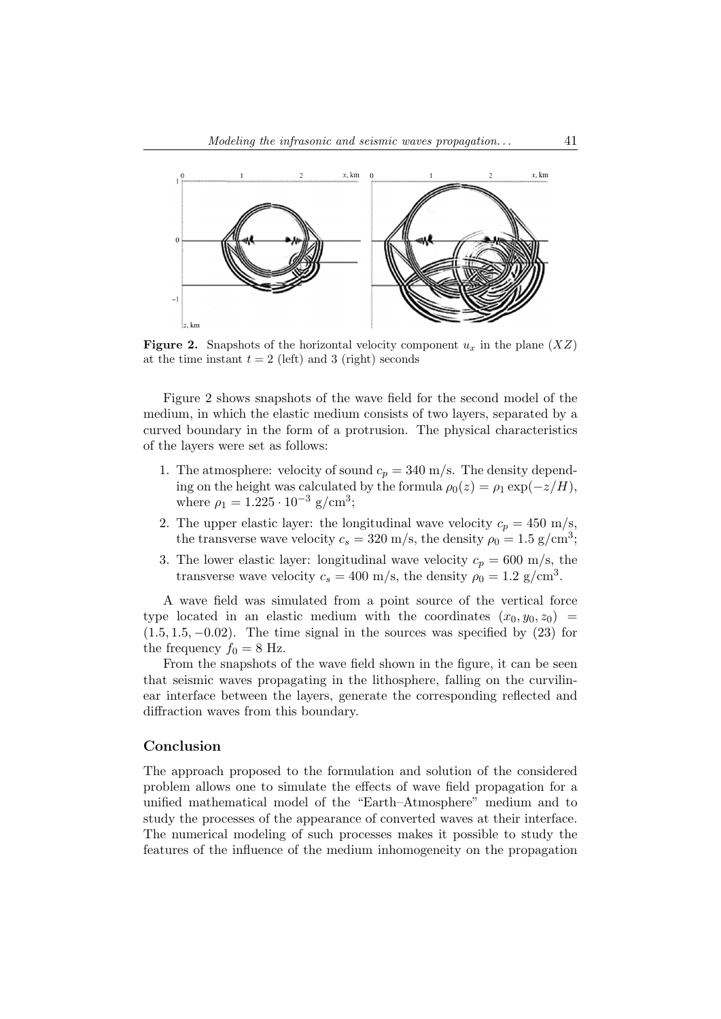

**Figure 2.** Snapshots of the horizontal velocity component  $u_x$  in the plane  $(XZ)$ at the time instant  $t = 2$  (left) and 3 (right) seconds

Figure 2 shows snapshots of the wave field for the second model of the medium, in which the elastic medium consists of two layers, separated by a curved boundary in the form of a protrusion. The physical characteristics of the layers were set as follows:

- 1. The atmosphere: velocity of sound  $c_p = 340$  m/s. The density depending on the height was calculated by the formula  $\rho_0(z) = \rho_1 \exp(-z/H)$ , where  $\rho_1 = 1.225 \cdot 10^{-3}$  g/cm<sup>3</sup>;
- 2. The upper elastic layer: the longitudinal wave velocity  $c_p = 450$  m/s, the transverse wave velocity  $c_s = 320$  m/s, the density  $\rho_0 = 1.5$  g/cm<sup>3</sup>;
- 3. The lower elastic layer: longitudinal wave velocity  $c_p = 600$  m/s, the transverse wave velocity  $c_s = 400$  m/s, the density  $\rho_0 = 1.2$  g/cm<sup>3</sup>.

A wave field was simulated from a point source of the vertical force type located in an elastic medium with the coordinates  $(x_0, y_0, z_0)$  $(1.5, 1.5, -0.02)$ . The time signal in the sources was specified by  $(23)$  for the frequency  $f_0 = 8$  Hz.

From the snapshots of the wave field shown in the figure, it can be seen that seismic waves propagating in the lithosphere, falling on the curvilinear interface between the layers, generate the corresponding reflected and diffraction waves from this boundary.

## Conclusion

The approach proposed to the formulation and solution of the considered problem allows one to simulate the effects of wave field propagation for a unified mathematical model of the "Earth–Atmosphere" medium and to study the processes of the appearance of converted waves at their interface. The numerical modeling of such processes makes it possible to study the features of the influence of the medium inhomogeneity on the propagation